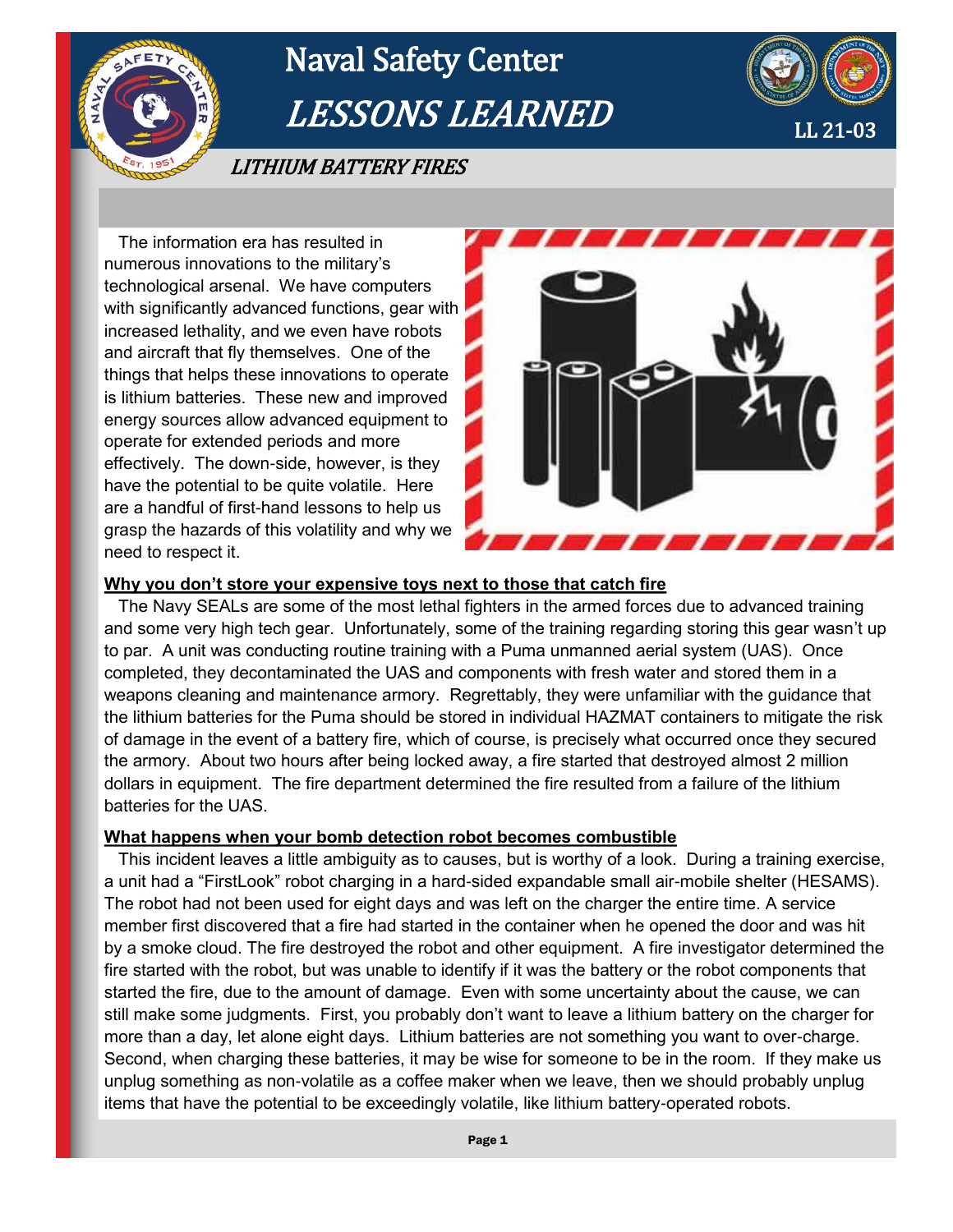

# Naval Safety Center LESSONS LEARNED



LITHIUM BATTERY FIRES

 The information era has resulted in numerous innovations to the military's technological arsenal. We have computers with significantly advanced functions, gear with increased lethality, and we even have robots and aircraft that fly themselves. One of the things that helps these innovations to operate is lithium batteries. These new and improved energy sources allow advanced equipment to operate for extended periods and more effectively. The down-side, however, is they have the potential to be quite volatile. Here are a handful of first-hand lessons to help us grasp the hazards of this volatility and why we need to respect it.



### **Why you don't store your expensive toys next to those that catch fire**

 The Navy SEALs are some of the most lethal fighters in the armed forces due to advanced training and some very high tech gear. Unfortunately, some of the training regarding storing this gear wasn't up to par. A unit was conducting routine training with a Puma unmanned aerial system (UAS). Once completed, they decontaminated the UAS and components with fresh water and stored them in a weapons cleaning and maintenance armory. Regrettably, they were unfamiliar with the guidance that the lithium batteries for the Puma should be stored in individual HAZMAT containers to mitigate the risk of damage in the event of a battery fire, which of course, is precisely what occurred once they secured the armory. About two hours after being locked away, a fire started that destroyed almost 2 million dollars in equipment. The fire department determined the fire resulted from a failure of the lithium batteries for the UAS.

#### **What happens when your bomb detection robot becomes combustible**

 This incident leaves a little ambiguity as to causes, but is worthy of a look. During a training exercise, a unit had a "FirstLook" robot charging in a hard-sided expandable small air-mobile shelter (HESAMS). The robot had not been used for eight days and was left on the charger the entire time. A service member first discovered that a fire had started in the container when he opened the door and was hit by a smoke cloud. The fire destroyed the robot and other equipment. A fire investigator determined the fire started with the robot, but was unable to identify if it was the battery or the robot components that started the fire, due to the amount of damage. Even with some uncertainty about the cause, we can still make some judgments. First, you probably don't want to leave a lithium battery on the charger for more than a day, let alone eight days. Lithium batteries are not something you want to over-charge. Second, when charging these batteries, it may be wise for someone to be in the room. If they make us unplug something as non-volatile as a coffee maker when we leave, then we should probably unplug items that have the potential to be exceedingly volatile, like lithium battery-operated robots.